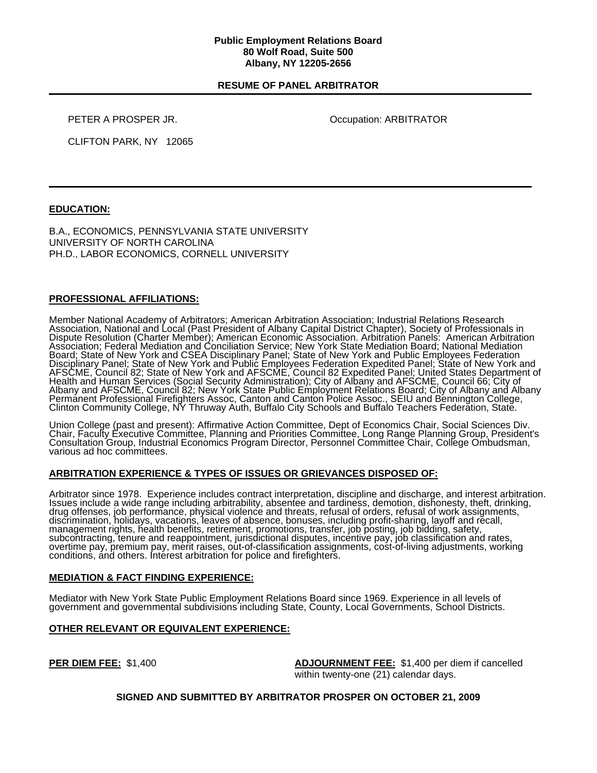#### **Public Employment Relations Board 80 Wolf Road, Suite 500 Albany, NY 12205-2656**

## **RESUME OF PANEL ARBITRATOR**

PETER A PROSPER JR. **COMPUTER A PROSPER JR.** Occupation: ARBITRATOR

CLIFTON PARK, NY 12065

# **EDUCATION:**

B.A., ECONOMICS, PENNSYLVANIA STATE UNIVERSITY UNIVERSITY OF NORTH CAROLINA PH.D., LABOR ECONOMICS, CORNELL UNIVERSITY

# **PROFESSIONAL AFFILIATIONS:**

Member National Academy of Arbitrators; American Arbitration Association; Industrial Relations Research Association, National and Local (Past President of Albany Capital District Chapter), Society of Professionals in<br>Dispute Resolution (Charter Member); American Economic Association. Arbitration Panels: American Arbitration Association; Federal Mediation and Conciliation Service; New York State Mediation Board; National Mediation Board; State of New York and CSEA Disciplinary Panel; State of New York and Public Employees Federation<br>Disciplinary Panel; State of New York and Public Employees Federation Expedited Panel; State of New York and<br>AFSCME, C Health and Human Services (Social Security Administration); City of Albany and AFSCME, Council 66; City of<br>Albany and AFSCME, Council 82; New York State Public Employment Relations Board; City of Albany and Albany Permánent Professional Firefighters Assoc, Canton and Canton Police Assoc., SEIU and Bennington College,<br>Clinton Community College, NY Thruway Auth, Buffalo City Schools and Buffalo Teachers Federation, State.

Union College (past and present): Affirmative Action Committee, Dept of Economics Chair, Social Sciences Div.<br>Chair, Faculty Executive Committee, Planning and Priorities Committee, Long Range Planning Group, President's<br>Co

#### **ARBITRATION EXPERIENCE & TYPES OF ISSUES OR GRIEVANCES DISPOSED OF:**

Arbitrator since 1978. Experience includes contract interpretation, discipline and discharge, and interest arbitration.<br>Issues include a wide range including arbitrability, absentee and tardiness, demotion, dishonesty, the

### **MEDIATION & FACT FINDING EXPERIENCE:**

Mediator with New York State Public Employment Relations Board since 1969. Experience in all levels of government and governmental subdivisions including State, County, Local Governments, School Districts.

### **OTHER RELEVANT OR EQUIVALENT EXPERIENCE:**

**PER DIEM FEE:** \$1,400 **ADJOURNMENT FEE:** \$1,400 per diem if cancelled within twenty-one (21) calendar days.

#### **SIGNED AND SUBMITTED BY ARBITRATOR PROSPER ON OCTOBER 21, 2009**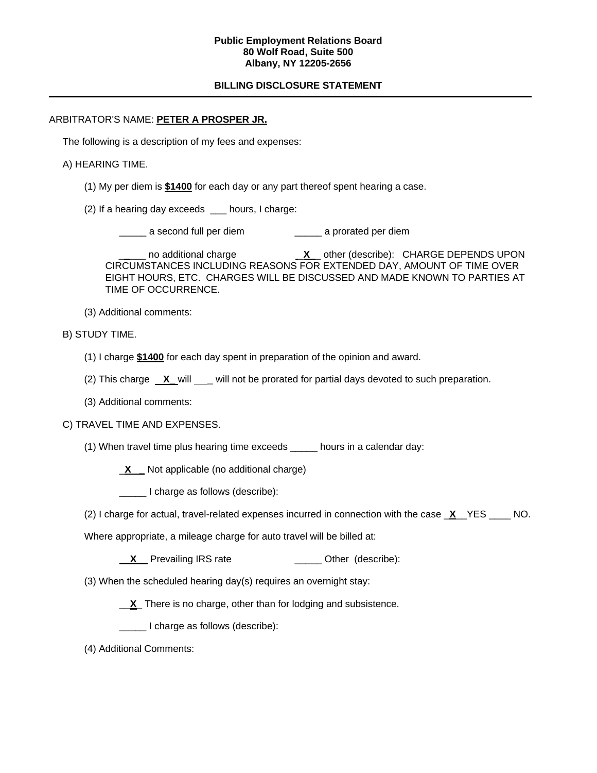### **Public Employment Relations Board 80 Wolf Road, Suite 500 Albany, NY 12205-2656**

# **BILLING DISCLOSURE STATEMENT**

#### ARBITRATOR'S NAME: **PETER A PROSPER JR.**

The following is a description of my fees and expenses:

#### A) HEARING TIME.

- (1) My per diem is **\$1400** for each day or any part thereof spent hearing a case.
- (2) If a hearing day exceeds \_\_\_ hours, I charge:

a second full per diem a prorated per diem

no additional charge **X** other (describe): CHARGE DEPENDS UPON CIRCUMSTANCES INCLUDING REASONS FOR EXTENDED DAY, AMOUNT OF TIME OVER EIGHT HOURS, ETC. CHARGES WILL BE DISCUSSED AND MADE KNOWN TO PARTIES AT TIME OF OCCURRENCE.

(3) Additional comments:

B) STUDY TIME.

- (1) I charge **\$1400** for each day spent in preparation of the opinion and award.
- (2) This charge **X\_** will \_\_\_ will not be prorated for partial days devoted to such preparation.
- (3) Additional comments:

### C) TRAVEL TIME AND EXPENSES.

(1) When travel time plus hearing time exceeds \_\_\_\_\_ hours in a calendar day:

\_**X \_** Not applicable (no additional charge)

I charge as follows (describe):

(2) I charge for actual, travel-related expenses incurred in connection with the case \_**X**\_\_YES \_\_\_\_ NO.

Where appropriate, a mileage charge for auto travel will be billed at:

- **X** Prevailing IRS rate **\_\_\_\_** Other (describe):
- (3) When the scheduled hearing day(s) requires an overnight stay:
	- \_\_**X**\_ There is no charge, other than for lodging and subsistence.

\_\_\_\_\_ I charge as follows (describe):

(4) Additional Comments: